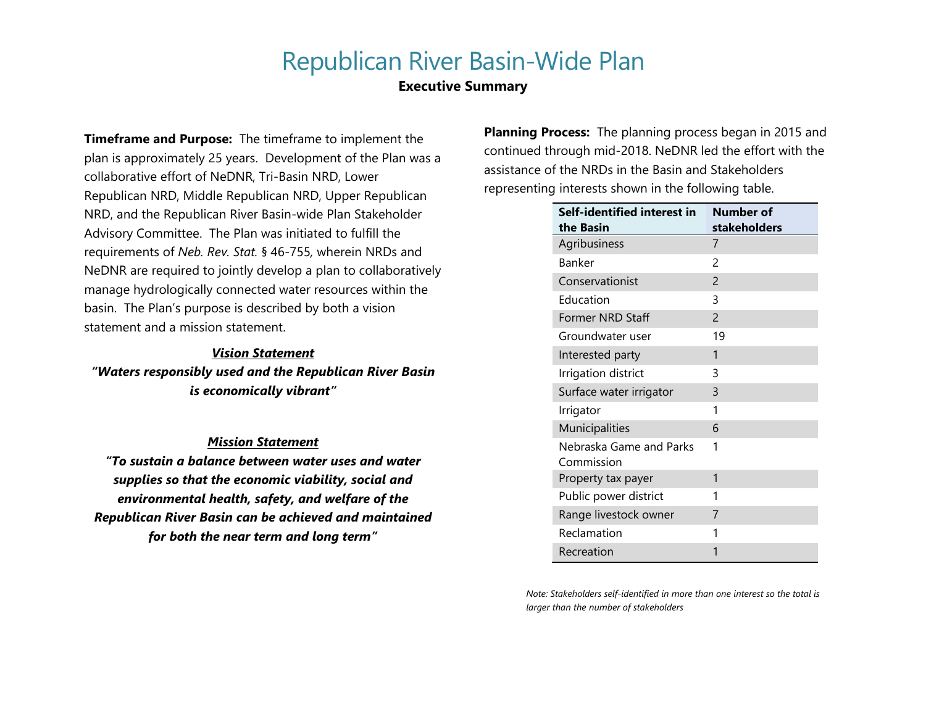# Republican River Basin-Wide Plan

## **Executive Summary**

**Timeframe and Purpose:** The timeframe to implement the plan is approximately 25 years. Development of the Plan was a collaborative effort of NeDNR, Tri-Basin NRD, Lower Republican NRD, Middle Republican NRD, Upper Republican NRD, and the Republican River Basin-wide Plan Stakeholder Advisory Committee. The Plan was initiated to fulfill the requirements of *Neb. Rev. Stat.* § 46-755*,* wherein NRDs and NeDNR are required to jointly develop a plan to collaboratively manage hydrologically connected water resources within the basin. The Plan's purpose is described by both a vision statement and a mission statement.

### *Vision Statement*

*"Waters responsibly used and the Republican River Basin is economically vibrant"*

### *Mission Statement*

*"To sustain a balance between water uses and water supplies so that the economic viability, social and environmental health, safety, and welfare of the Republican River Basin can be achieved and maintained for both the near term and long term"*

**Planning Process:** The planning process began in 2015 and continued through mid-2018. NeDNR led the effort with the assistance of the NRDs in the Basin and Stakeholders representing interests shown in the following table.

| Self-identified interest in           | Number of      |
|---------------------------------------|----------------|
| the Basin                             | stakeholders   |
| Agribusiness                          | 7              |
| Banker                                | $\mathcal{P}$  |
| Conservationist                       | $\overline{c}$ |
| Education                             | 3              |
| Former NRD Staff                      | $\overline{c}$ |
| Groundwater user                      | 19             |
| Interested party                      | 1              |
| Irrigation district                   | 3              |
| Surface water irrigator               | 3              |
| Irrigator                             | 1              |
| Municipalities                        | 6              |
| Nebraska Game and Parks<br>Commission | 1              |
| Property tax payer                    | 1              |
| Public power district                 | 1              |
| Range livestock owner                 | 7              |
| Reclamation                           | 1              |
| Recreation                            | 1              |

*Note: Stakeholders self-identified in more than one interest so the total is larger than the number of stakeholders*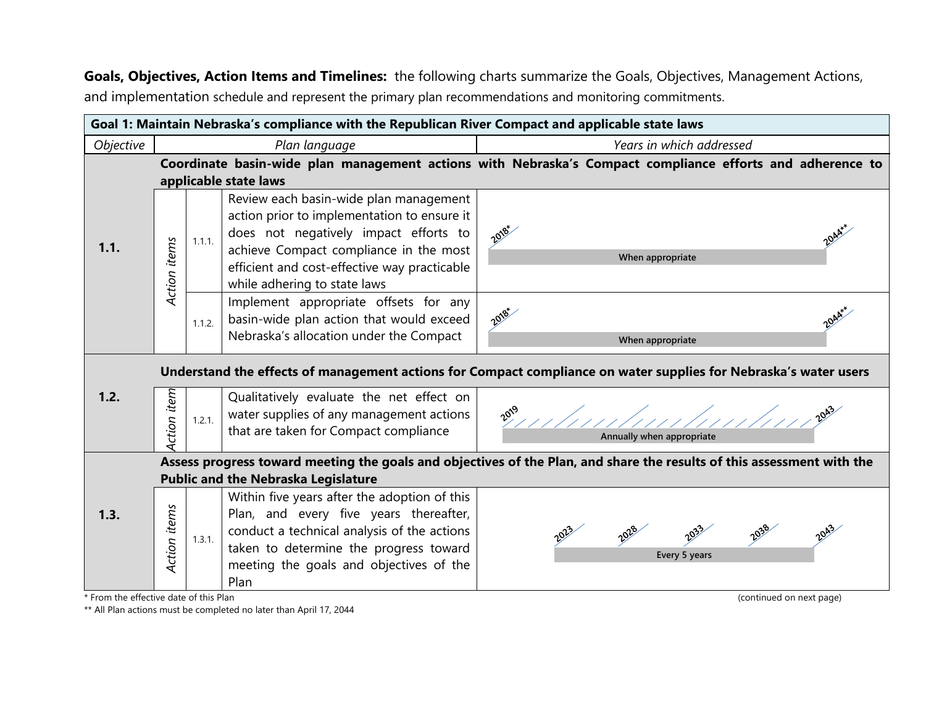**Goals, Objectives, Action Items and Timelines:** the following charts summarize the Goals, Objectives, Management Actions, and implementation schedule and represent the primary plan recommendations and monitoring commitments.

|           | Goal 1: Maintain Nebraska's compliance with the Republican River Compact and applicable state laws |        |                                                                                                                                                                                                                                                          |                                                                                                                        |  |
|-----------|----------------------------------------------------------------------------------------------------|--------|----------------------------------------------------------------------------------------------------------------------------------------------------------------------------------------------------------------------------------------------------------|------------------------------------------------------------------------------------------------------------------------|--|
| Objective |                                                                                                    |        | Plan language                                                                                                                                                                                                                                            | Years in which addressed                                                                                               |  |
|           |                                                                                                    |        | applicable state laws                                                                                                                                                                                                                                    | Coordinate basin-wide plan management actions with Nebraska's Compact compliance efforts and adherence to              |  |
| 1.1.      | Action items                                                                                       | 1.1.1. | Review each basin-wide plan management<br>action prior to implementation to ensure it<br>does not negatively impact efforts to<br>achieve Compact compliance in the most<br>efficient and cost-effective way practicable<br>while adhering to state laws | 2018*<br>When appropriate                                                                                              |  |
|           |                                                                                                    | 1.1.2. | Implement appropriate offsets for any<br>basin-wide plan action that would exceed<br>Nebraska's allocation under the Compact                                                                                                                             | 2018*<br>When appropriate                                                                                              |  |
|           |                                                                                                    |        |                                                                                                                                                                                                                                                          | Understand the effects of management actions for Compact compliance on water supplies for Nebraska's water users       |  |
| 1.2.      | Action item                                                                                        | 1.2.1. | Qualitatively evaluate the net effect on<br>water supplies of any management actions<br>that are taken for Compact compliance                                                                                                                            | Annually when appropriate                                                                                              |  |
|           |                                                                                                    |        |                                                                                                                                                                                                                                                          | Assess progress toward meeting the goals and objectives of the Plan, and share the results of this assessment with the |  |
|           |                                                                                                    |        | <b>Public and the Nebraska Legislature</b>                                                                                                                                                                                                               |                                                                                                                        |  |
| 1.3.      | Action items                                                                                       | 1.3.1. | Within five years after the adoption of this<br>Plan, and every five years thereafter,<br>conduct a technical analysis of the actions<br>taken to determine the progress toward<br>meeting the goals and objectives of the<br>Plan                       | Every 5 years                                                                                                          |  |
|           | * From the effective date of this Plan<br>(continued on next page)                                 |        |                                                                                                                                                                                                                                                          |                                                                                                                        |  |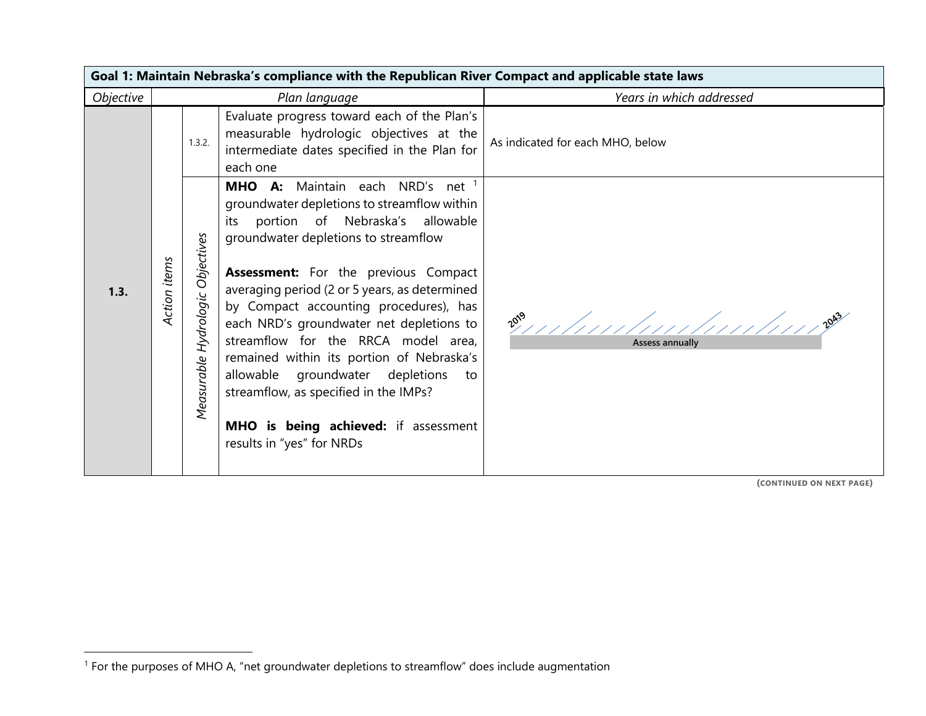|           | Goal 1: Maintain Nebraska's compliance with the Republican River Compact and applicable state laws |                                                                                                                                                                                                                                                                                                                                                                                                                                                                                                                                                                                                                                   |                                   |  |  |  |
|-----------|----------------------------------------------------------------------------------------------------|-----------------------------------------------------------------------------------------------------------------------------------------------------------------------------------------------------------------------------------------------------------------------------------------------------------------------------------------------------------------------------------------------------------------------------------------------------------------------------------------------------------------------------------------------------------------------------------------------------------------------------------|-----------------------------------|--|--|--|
| Objective |                                                                                                    | Plan language                                                                                                                                                                                                                                                                                                                                                                                                                                                                                                                                                                                                                     | Years in which addressed          |  |  |  |
|           |                                                                                                    | Evaluate progress toward each of the Plan's<br>measurable hydrologic objectives at the<br>1.3.2.<br>intermediate dates specified in the Plan for<br>each one                                                                                                                                                                                                                                                                                                                                                                                                                                                                      | As indicated for each MHO, below  |  |  |  |
| 1.3.      | Action items                                                                                       | MHO A: Maintain each NRD's net 1<br>groundwater depletions to streamflow within<br>its portion of Nebraska's allowable<br>Objectives<br>groundwater depletions to streamflow<br><b>Assessment:</b> For the previous Compact<br>averaging period (2 or 5 years, as determined<br>Measurable Hydrologic<br>by Compact accounting procedures), has<br>each NRD's groundwater net depletions to<br>streamflow for the RRCA model area,<br>remained within its portion of Nebraska's<br>allowable groundwater depletions<br>streamflow, as specified in the IMPs?<br>MHO is being achieved: if assessment<br>results in "yes" for NRDs | $20^{9}$<br>Assess annually<br>to |  |  |  |

**(CONTINUED ON NEXT PAGE)**

 $\overline{a}$ 

<sup>1</sup> For the purposes of MHO A, "net groundwater depletions to streamflow" does include augmentation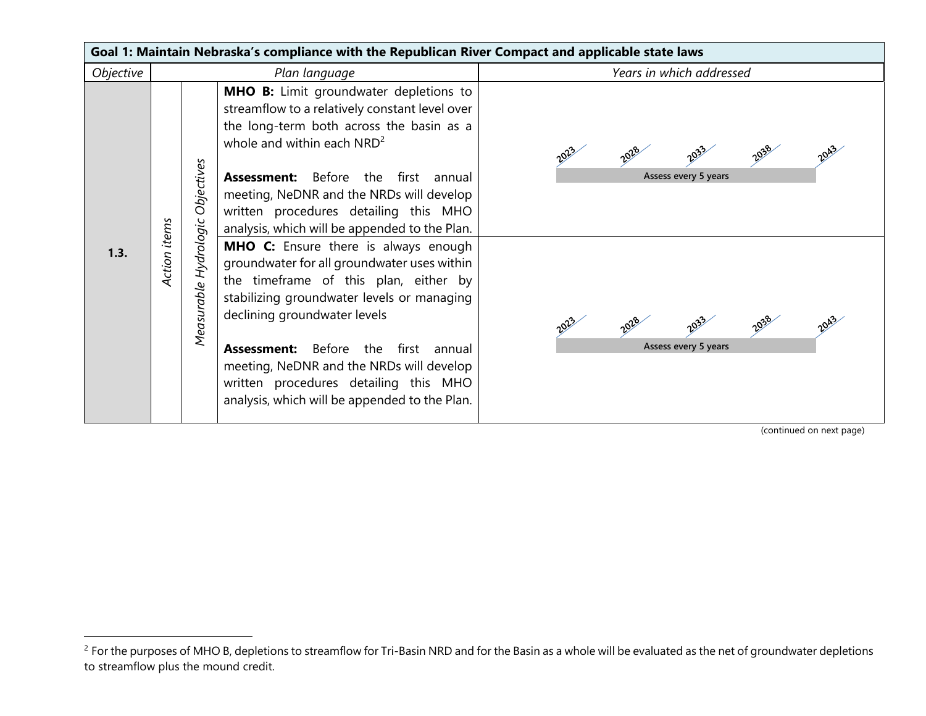|           | Goal 1: Maintain Nebraska's compliance with the Republican River Compact and applicable state laws |                                        |                                                                                                                                                                                                                                                                                                                                                                                                                                                                                                                                                                                                                                                                                   |                                              |  |  |  |
|-----------|----------------------------------------------------------------------------------------------------|----------------------------------------|-----------------------------------------------------------------------------------------------------------------------------------------------------------------------------------------------------------------------------------------------------------------------------------------------------------------------------------------------------------------------------------------------------------------------------------------------------------------------------------------------------------------------------------------------------------------------------------------------------------------------------------------------------------------------------------|----------------------------------------------|--|--|--|
| Objective |                                                                                                    |                                        | Plan language                                                                                                                                                                                                                                                                                                                                                                                                                                                                                                                                                                                                                                                                     | Years in which addressed                     |  |  |  |
| 1.3.      | Action items                                                                                       | Objectives<br>Hydrologic<br>Measurable | <b>MHO B:</b> Limit groundwater depletions to<br>streamflow to a relatively constant level over<br>the long-term both across the basin as a<br>whole and within each $NRD^2$<br><b>Assessment:</b> Before<br>the first<br>annual<br>meeting, NeDNR and the NRDs will develop<br>written procedures detailing this MHO<br>analysis, which will be appended to the Plan.<br>MHO C: Ensure there is always enough<br>groundwater for all groundwater uses within<br>the timeframe of this plan, either by<br>stabilizing groundwater levels or managing<br>declining groundwater levels<br><b>Assessment:</b> Before the first<br>annual<br>meeting, NeDNR and the NRDs will develop | Assess every 5 years<br>Assess every 5 years |  |  |  |
|           |                                                                                                    |                                        | written procedures detailing this MHO<br>analysis, which will be appended to the Plan.                                                                                                                                                                                                                                                                                                                                                                                                                                                                                                                                                                                            |                                              |  |  |  |
|           |                                                                                                    |                                        |                                                                                                                                                                                                                                                                                                                                                                                                                                                                                                                                                                                                                                                                                   | (continued on next page)                     |  |  |  |

 $\overline{a}$ 

<sup>&</sup>lt;sup>2</sup> For the purposes of MHO B, depletions to streamflow for Tri-Basin NRD and for the Basin as a whole will be evaluated as the net of groundwater depletions to streamflow plus the mound credit.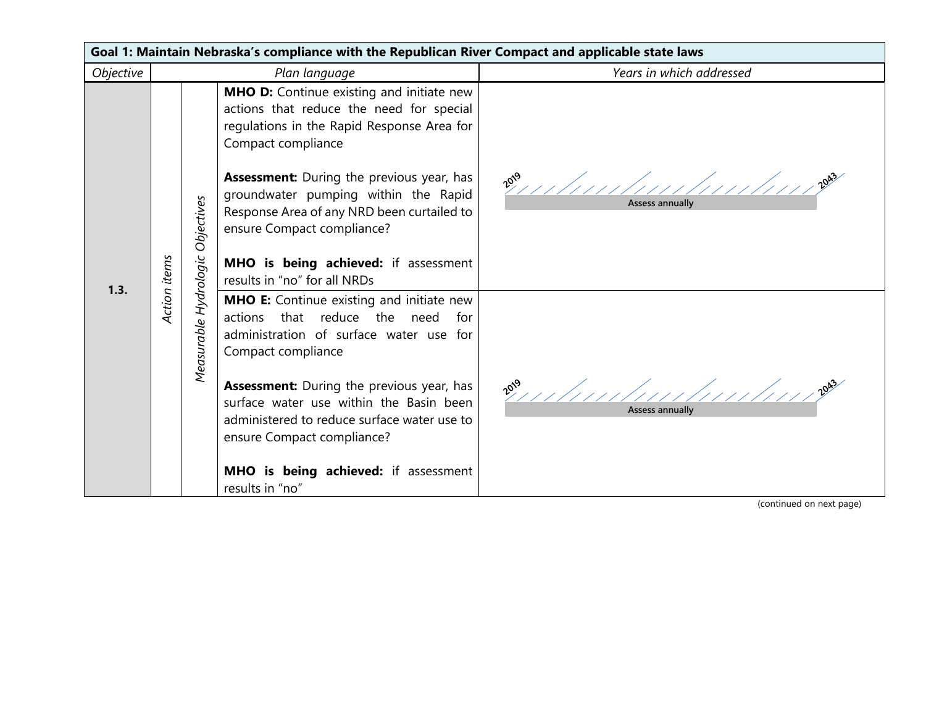| Goal 1: Maintain Nebraska's compliance with the Republican River Compact and applicable state laws |              |                                  |                                                                                                                                                                                                                                                                                                                                                                                                                  |                                                      |  |  |
|----------------------------------------------------------------------------------------------------|--------------|----------------------------------|------------------------------------------------------------------------------------------------------------------------------------------------------------------------------------------------------------------------------------------------------------------------------------------------------------------------------------------------------------------------------------------------------------------|------------------------------------------------------|--|--|
| Objective                                                                                          |              |                                  | Plan language                                                                                                                                                                                                                                                                                                                                                                                                    | Years in which addressed                             |  |  |
| 1.3.                                                                                               | Action items |                                  | <b>MHO D:</b> Continue existing and initiate new<br>actions that reduce the need for special<br>regulations in the Rapid Response Area for<br>Compact compliance<br><b>Assessment:</b> During the previous year, has<br>groundwater pumping within the Rapid<br>Response Area of any NRD been curtailed to<br>ensure Compact compliance?<br>MHO is being achieved: if assessment<br>results in "no" for all NRDs | $20^{59}$                                            |  |  |
|                                                                                                    |              | Measurable Hydrologic Objectives | <b>MHO E:</b> Continue existing and initiate new<br>actions that reduce the need for<br>administration of surface water use for<br>Compact compliance<br><b>Assessment:</b> During the previous year, has<br>surface water use within the Basin been<br>administered to reduce surface water use to<br>ensure Compact compliance?<br>MHO is being achieved: if assessment<br>results in "no"                     | 2019 11/11/11/11/11/11/11/11/1202<br>Assess annually |  |  |

(continued on next page)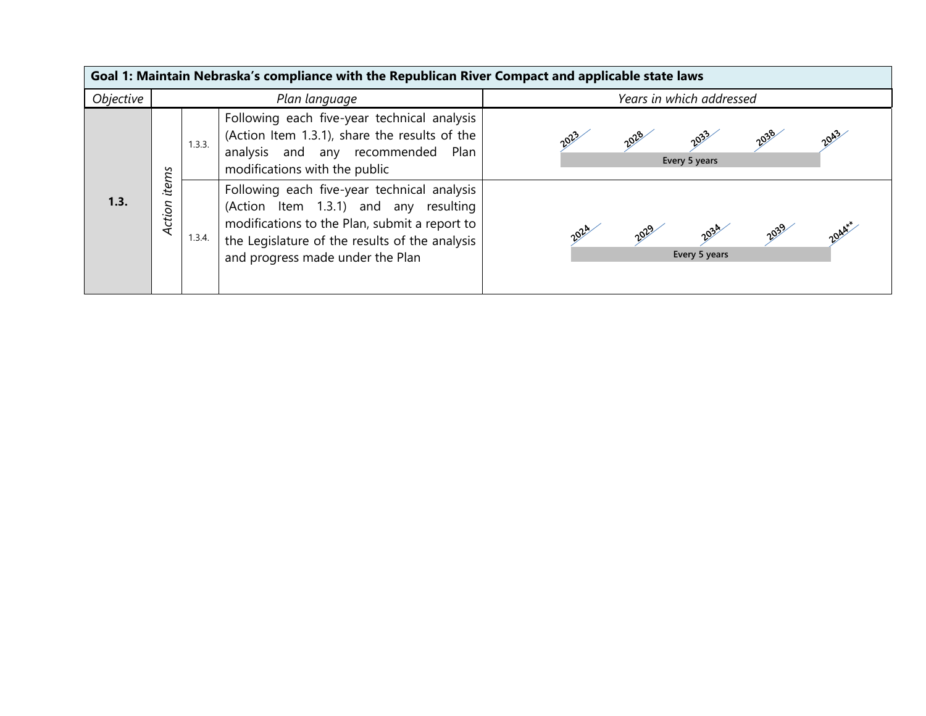|           | Goal 1: Maintain Nebraska's compliance with the Republican River Compact and applicable state laws |        |                                                                                                                                                                                                                             |                                               |  |
|-----------|----------------------------------------------------------------------------------------------------|--------|-----------------------------------------------------------------------------------------------------------------------------------------------------------------------------------------------------------------------------|-----------------------------------------------|--|
| Objective |                                                                                                    |        | Plan language                                                                                                                                                                                                               | Years in which addressed                      |  |
|           |                                                                                                    | 1.3.3. | Following each five-year technical analysis  <br>(Action Item 1.3.1), share the results of the<br>analysis and any recommended Plan<br>modifications with the public                                                        | 2038<br>2020<br>2027<br>Every 5 years         |  |
| 1.3.      | items<br>Action                                                                                    | 1.3.4. | Following each five-year technical analysis<br>(Action Item 1.3.1) and any resulting<br>modifications to the Plan, submit a report to<br>the Legislature of the results of the analysis<br>and progress made under the Plan | 2039<br>2034<br>2029<br>2024<br>Every 5 years |  |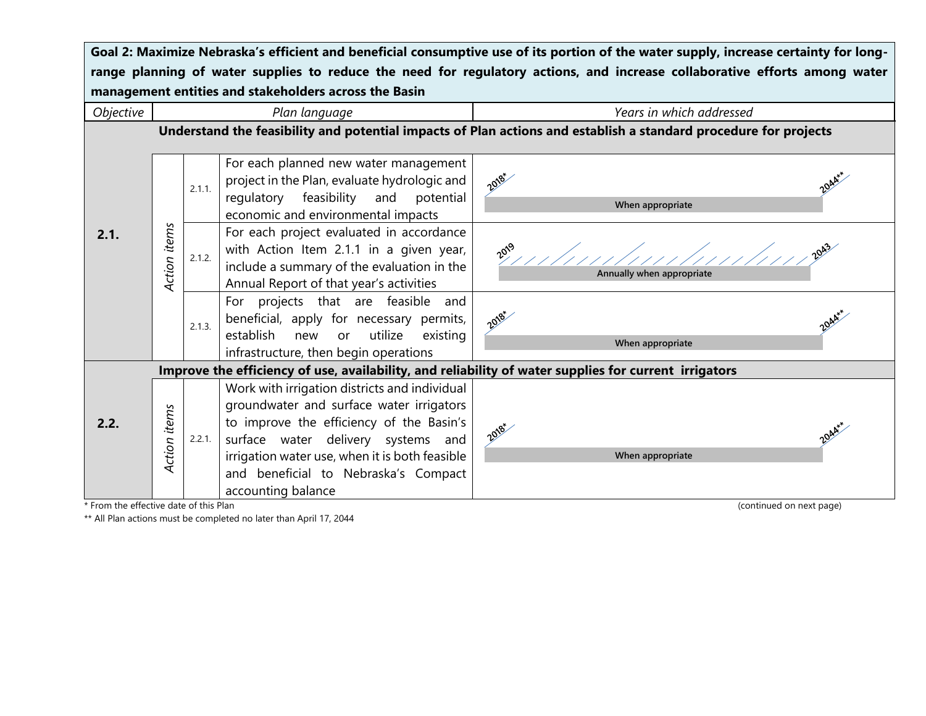| Goal 2: Maximize Nebraska's efficient and beneficial consumptive use of its portion of the water supply, increase certainty for long- |                                                                                                                            |        |                                                                                                                                                                                                                                                                                             |                                                                                                                  |  |  |
|---------------------------------------------------------------------------------------------------------------------------------------|----------------------------------------------------------------------------------------------------------------------------|--------|---------------------------------------------------------------------------------------------------------------------------------------------------------------------------------------------------------------------------------------------------------------------------------------------|------------------------------------------------------------------------------------------------------------------|--|--|
|                                                                                                                                       | range planning of water supplies to reduce the need for regulatory actions, and increase collaborative efforts among water |        |                                                                                                                                                                                                                                                                                             |                                                                                                                  |  |  |
| management entities and stakeholders across the Basin                                                                                 |                                                                                                                            |        |                                                                                                                                                                                                                                                                                             |                                                                                                                  |  |  |
| Objective                                                                                                                             |                                                                                                                            |        | Plan language                                                                                                                                                                                                                                                                               | Years in which addressed                                                                                         |  |  |
|                                                                                                                                       |                                                                                                                            |        |                                                                                                                                                                                                                                                                                             | Understand the feasibility and potential impacts of Plan actions and establish a standard procedure for projects |  |  |
|                                                                                                                                       |                                                                                                                            | 2.1.1. | For each planned new water management<br>project in the Plan, evaluate hydrologic and<br>regulatory feasibility and<br>potential<br>economic and environmental impacts                                                                                                                      | 2018*<br>2044<br>When appropriate                                                                                |  |  |
| 2.1.                                                                                                                                  | Action items                                                                                                               | 2.1.2. | For each project evaluated in accordance<br>with Action Item 2.1.1 in a given year,<br>include a summary of the evaluation in the<br>Annual Report of that year's activities                                                                                                                | $10^{19}$<br>Annually when appropriate                                                                           |  |  |
|                                                                                                                                       |                                                                                                                            | 2.1.3. | For projects that are feasible and<br>beneficial, apply for necessary permits,<br>utilize<br>establish new<br>existing<br>or<br>infrastructure, then begin operations                                                                                                                       | 2018*<br>2044*<br>When appropriate                                                                               |  |  |
|                                                                                                                                       |                                                                                                                            |        |                                                                                                                                                                                                                                                                                             | Improve the efficiency of use, availability, and reliability of water supplies for current irrigators            |  |  |
| 2.2.                                                                                                                                  | Action items                                                                                                               | 2.2.1. | Work with irrigation districts and individual<br>groundwater and surface water irrigators<br>to improve the efficiency of the Basin's<br>surface water delivery systems and<br>irrigation water use, when it is both feasible<br>and beneficial to Nebraska's Compact<br>accounting balance | 2018-<br>2044<br>When appropriate                                                                                |  |  |

\* From the effective date of this Plan (continued on next page) (continued on next page)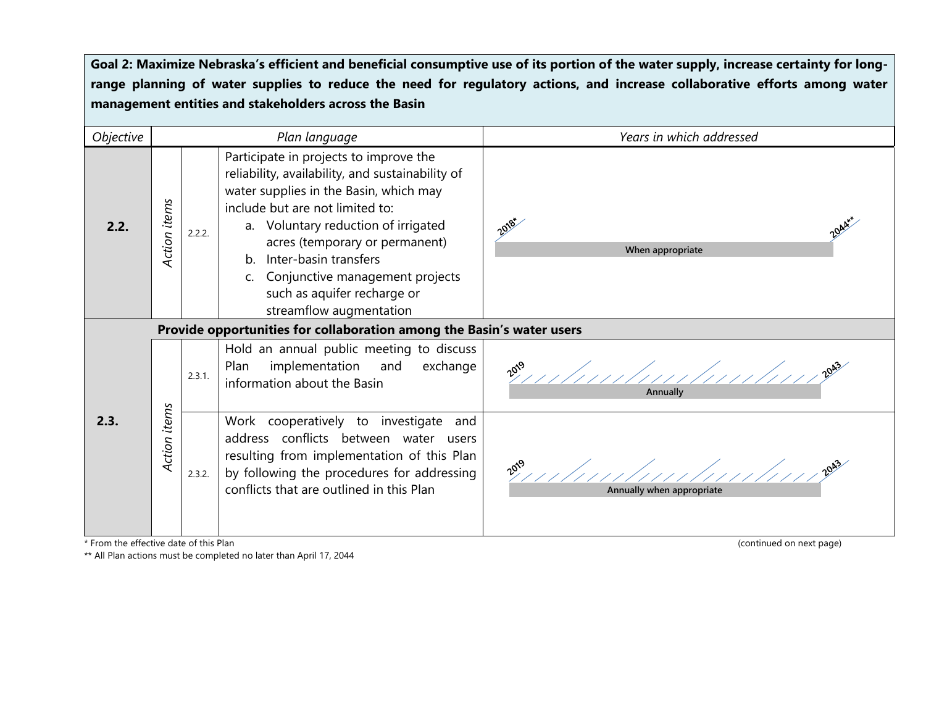| Objective                                      |                                                                       |        | Plan language                                                                                                                                                                                                                                                                                                                                                             | Years in which addressed                              |
|------------------------------------------------|-----------------------------------------------------------------------|--------|---------------------------------------------------------------------------------------------------------------------------------------------------------------------------------------------------------------------------------------------------------------------------------------------------------------------------------------------------------------------------|-------------------------------------------------------|
| 2.2.                                           | Action items                                                          | 2.2.2. | Participate in projects to improve the<br>reliability, availability, and sustainability of<br>water supplies in the Basin, which may<br>include but are not limited to:<br>a. Voluntary reduction of irrigated<br>acres (temporary or permanent)<br>b. Inter-basin transfers<br>Conjunctive management projects<br>such as aquifer recharge or<br>streamflow augmentation | 2018*<br>When appropriate                             |
|                                                | Provide opportunities for collaboration among the Basin's water users |        |                                                                                                                                                                                                                                                                                                                                                                           |                                                       |
|                                                |                                                                       | 2.3.1. | Hold an annual public meeting to discuss<br>implementation and<br>exchange<br>Plan<br>information about the Basin                                                                                                                                                                                                                                                         | Annually                                              |
| 2.3.<br>* From the effective date of this Plan | Action items                                                          | 2.3.2. | Work cooperatively to investigate<br>and<br>address conflicts between water users<br>resulting from implementation of this Plan<br>by following the procedures for addressing<br>conflicts that are outlined in this Plan                                                                                                                                                 | Annually when appropriate<br>(continued on next page) |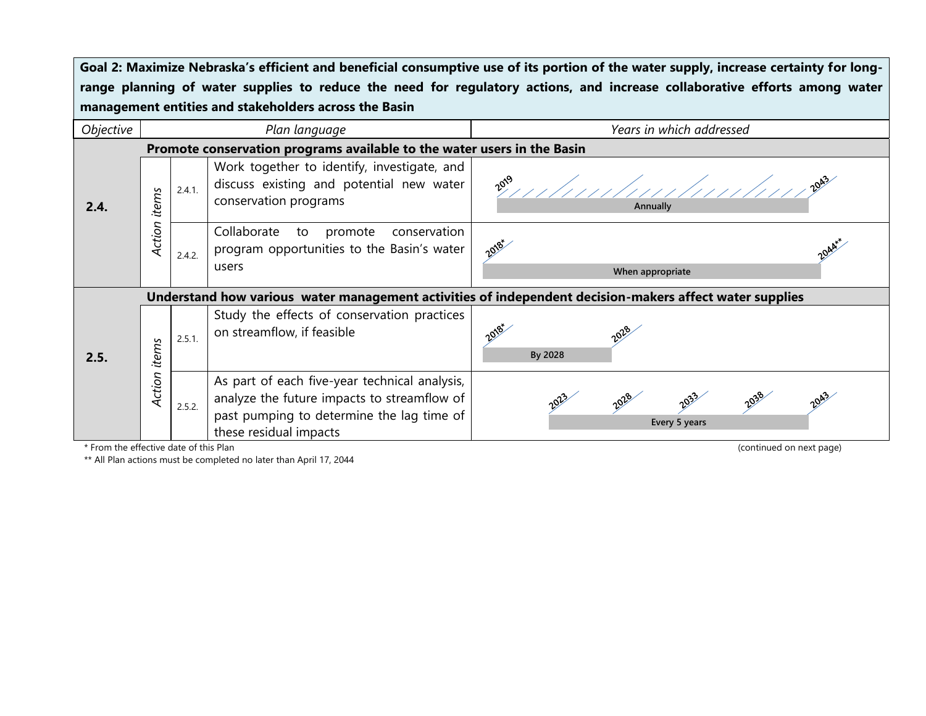| Objective |                 |                                                                         | Plan language                                                                                                                                                       | Years in which addressed                                                                                |
|-----------|-----------------|-------------------------------------------------------------------------|---------------------------------------------------------------------------------------------------------------------------------------------------------------------|---------------------------------------------------------------------------------------------------------|
|           |                 | Promote conservation programs available to the water users in the Basin |                                                                                                                                                                     |                                                                                                         |
| 2.4.      | items           | 2.4.1.                                                                  | Work together to identify, investigate, and<br>discuss existing and potential new water<br>conservation programs                                                    | $10^{9}$<br>Annually                                                                                    |
|           | Action          | 2.4.2.                                                                  | Collaborate to<br>promote<br>conservation<br>program opportunities to the Basin's water<br>users                                                                    | 2018-<br>When appropriate                                                                               |
|           |                 |                                                                         |                                                                                                                                                                     | Understand how various water management activities of independent decision-makers affect water supplies |
| 2.5.      | items<br>Action | 2.5.1.                                                                  | Study the effects of conservation practices<br>on streamflow, if feasible                                                                                           | 2018*<br>By 2028                                                                                        |
|           |                 | 2.5.2.                                                                  | As part of each five-year technical analysis,<br>analyze the future impacts to streamflow of<br>past pumping to determine the lag time of<br>these residual impacts | 2038<br>2043<br>2028<br>Every 5 years                                                                   |

\* From the effective date of this Plan (continued on next page)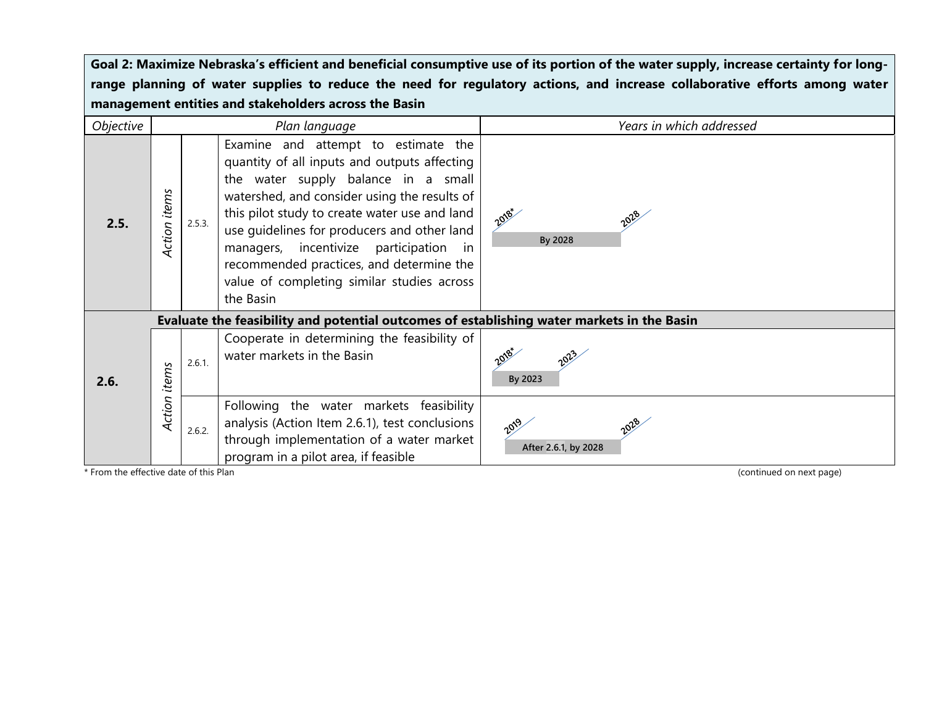| Objective                              |              |        | Plan language                                                                                                                                                                                                                                                                                                                                                                                                                             | Years in which addressed                                 |
|----------------------------------------|--------------|--------|-------------------------------------------------------------------------------------------------------------------------------------------------------------------------------------------------------------------------------------------------------------------------------------------------------------------------------------------------------------------------------------------------------------------------------------------|----------------------------------------------------------|
| 2.5.                                   | Action items | 2.5.3. | Examine and attempt to estimate the<br>quantity of all inputs and outputs affecting<br>the water supply balance in a small<br>watershed, and consider using the results of<br>this pilot study to create water use and land<br>use guidelines for producers and other land<br>managers, incentivize participation<br>$\mathsf{In}$<br>recommended practices, and determine the<br>value of completing similar studies across<br>the Basin | 2018-<br>2028<br>By 2028                                 |
| 2.6.                                   | items        | 2.6.1. | Evaluate the feasibility and potential outcomes of establishing water markets in the Basin<br>Cooperate in determining the feasibility of<br>water markets in the Basin                                                                                                                                                                                                                                                                   | 2018-<br>By 2023                                         |
| * From the effective date of this Plan | Action       | 2.6.2. | Following the water markets feasibility<br>analysis (Action Item 2.6.1), test conclusions<br>through implementation of a water market<br>program in a pilot area, if feasible                                                                                                                                                                                                                                                             | 2019<br>After 2.6.1, by 2028<br>(continued on next page) |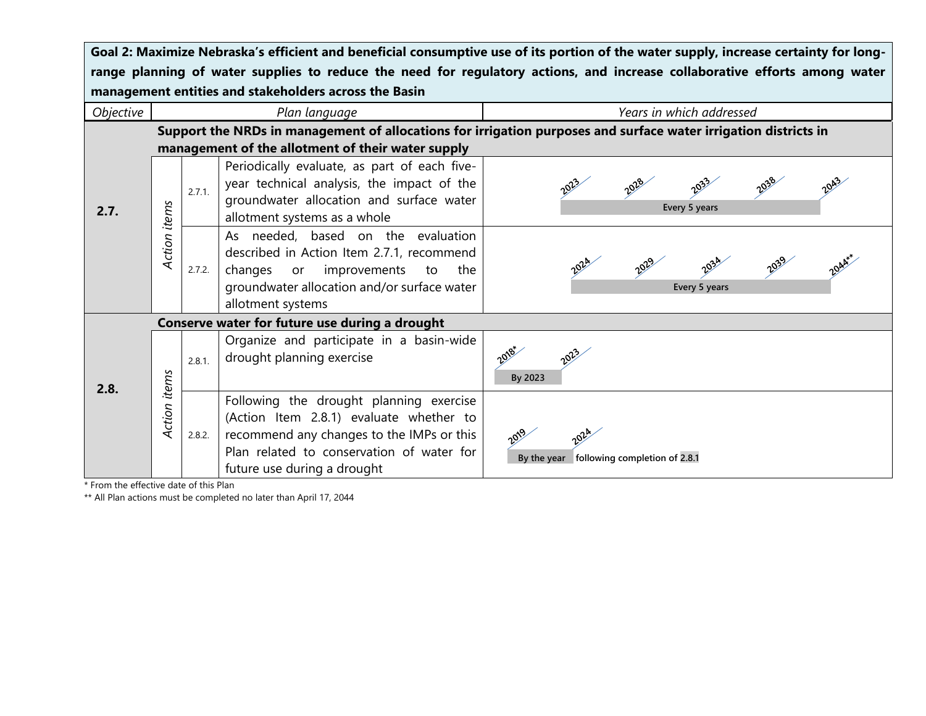| Objective |              |        | Plan language                                                                                                                                                                                               | Years in which addressed                                                                                        |
|-----------|--------------|--------|-------------------------------------------------------------------------------------------------------------------------------------------------------------------------------------------------------------|-----------------------------------------------------------------------------------------------------------------|
|           |              |        | management of the allotment of their water supply                                                                                                                                                           | Support the NRDs in management of allocations for irrigation purposes and surface water irrigation districts in |
| 2.7.      |              | 2.7.1. | Periodically evaluate, as part of each five-<br>year technical analysis, the impact of the<br>groundwater allocation and surface water<br>allotment systems as a whole                                      | Every 5 years                                                                                                   |
|           | Action items | 2.7.2. | As needed, based on the evaluation<br>described in Action Item 2.7.1, recommend<br>improvements<br>changes<br>or<br>the<br>to<br>groundwater allocation and/or surface water<br>allotment systems           | Every 5 years                                                                                                   |
|           |              |        | Conserve water for future use during a drought                                                                                                                                                              |                                                                                                                 |
|           |              | 2.8.1. | Organize and participate in a basin-wide<br>drought planning exercise                                                                                                                                       | By 2023                                                                                                         |
| 2.8.      | Action items | 2.8.2. | Following the drought planning exercise<br>(Action Item 2.8.1) evaluate whether to<br>recommend any changes to the IMPs or this<br>Plan related to conservation of water for<br>future use during a drought | By the year following completion of 2.8.1                                                                       |

\* From the effective date of this Plan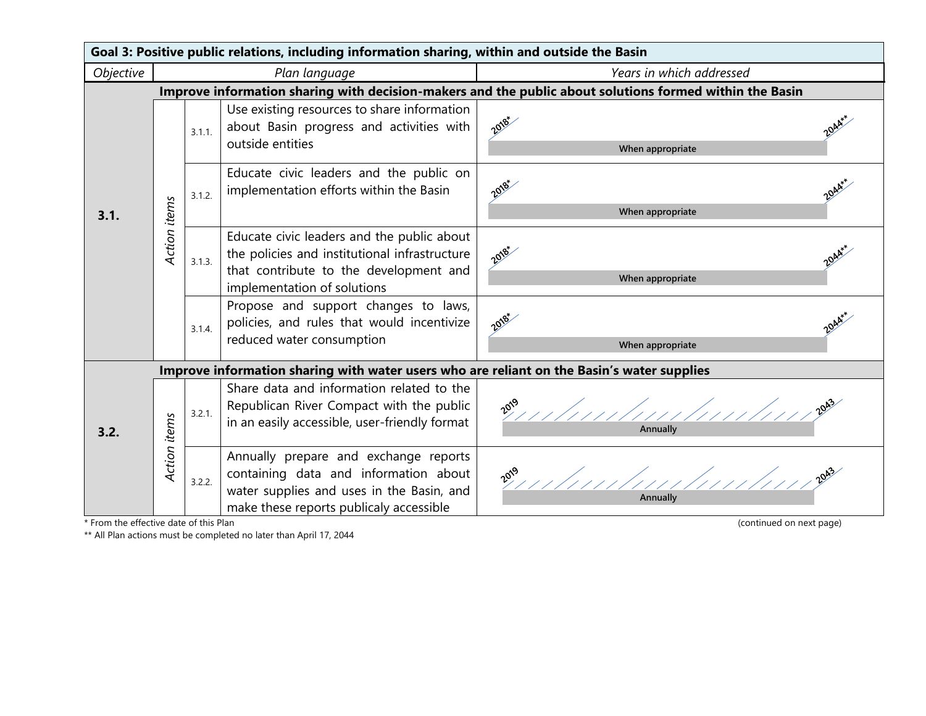| Goal 3: Positive public relations, including information sharing, within and outside the Basin |              |        |                                                                                                                                                                        |                                                                                                                 |                                   |  |
|------------------------------------------------------------------------------------------------|--------------|--------|------------------------------------------------------------------------------------------------------------------------------------------------------------------------|-----------------------------------------------------------------------------------------------------------------|-----------------------------------|--|
| Objective                                                                                      |              |        | Plan language                                                                                                                                                          | Years in which addressed                                                                                        |                                   |  |
|                                                                                                |              |        |                                                                                                                                                                        | Improve information sharing with decision-makers and the public about solutions formed within the Basin         |                                   |  |
|                                                                                                |              | 3.1.1. | Use existing resources to share information<br>about Basin progress and activities with<br>outside entities                                                            | 2018*<br>2044<br>When appropriate                                                                               |                                   |  |
| 3.1.                                                                                           |              | 3.1.2. | Educate civic leaders and the public on<br>implementation efforts within the Basin                                                                                     | 2018-<br>2044<br>When appropriate                                                                               |                                   |  |
|                                                                                                | Action items | 3.1.3. | Educate civic leaders and the public about<br>the policies and institutional infrastructure<br>that contribute to the development and<br>implementation of solutions   | 2018-<br>2044<br>When appropriate                                                                               |                                   |  |
|                                                                                                |              |        | 3.1.4.                                                                                                                                                                 | Propose and support changes to laws,<br>policies, and rules that would incentivize<br>reduced water consumption | 2018*<br>2044<br>When appropriate |  |
|                                                                                                |              |        | Improve information sharing with water users who are reliant on the Basin's water supplies                                                                             |                                                                                                                 |                                   |  |
| 3.2.                                                                                           |              | 3.2.1. | Share data and information related to the<br>Republican River Compact with the public<br>in an easily accessible, user-friendly format                                 | 2019                                                                                                            |                                   |  |
| * From the effective date of this Plan                                                         | Action items | 3.2.2. | Annually prepare and exchange reports<br>containing data and information about<br>water supplies and uses in the Basin, and<br>make these reports publicaly accessible | $20^{3}$<br>Annually<br>(continued on next page)                                                                |                                   |  |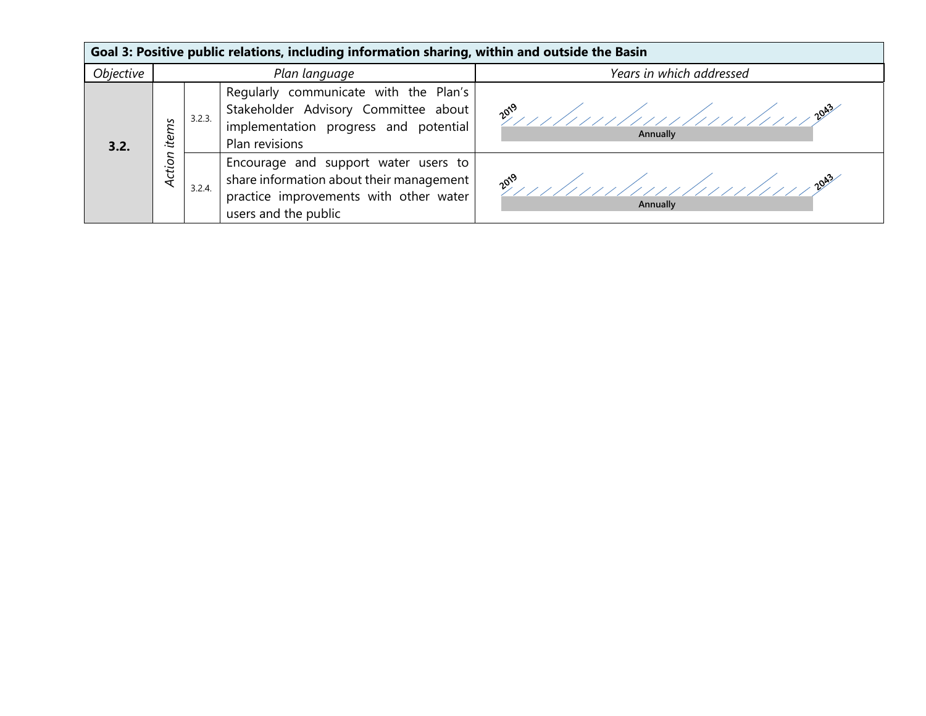| Goal 3: Positive public relations, including information sharing, within and outside the Basin |                 |        |                                                                                                                                                    |                              |  |  |  |
|------------------------------------------------------------------------------------------------|-----------------|--------|----------------------------------------------------------------------------------------------------------------------------------------------------|------------------------------|--|--|--|
| Objective                                                                                      | Plan language   |        |                                                                                                                                                    | Years in which addressed     |  |  |  |
| 3.2.                                                                                           | items<br>Action | 3.2.3. | Regularly communicate with the Plan's<br>Stakeholder Advisory Committee about<br>implementation progress and potential<br>Plan revisions           | $10^{9}$<br>Annually         |  |  |  |
|                                                                                                |                 | 3.2.4. | Encourage and support water users to<br>share information about their management<br>practice improvements with other water<br>users and the public | $\mathbb{R}^{3}$<br>Annually |  |  |  |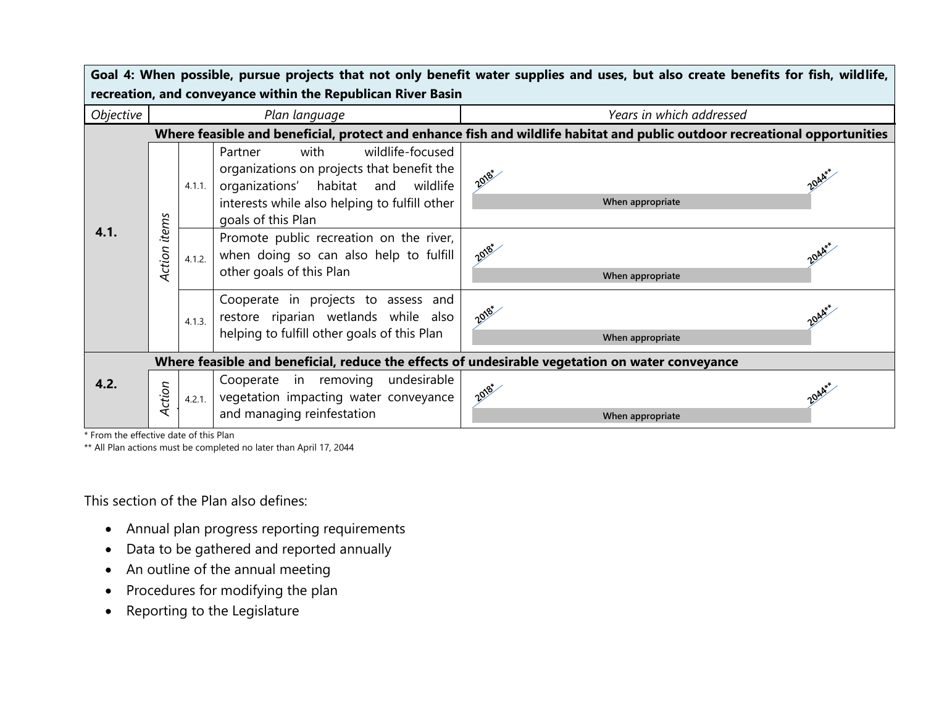| Goal 4: When possible, pursue projects that not only benefit water supplies and uses, but also create benefits for fish, wildlife, |                                                                                                 |        |                                                                                                                                                                                                 |                           |  |  |  |
|------------------------------------------------------------------------------------------------------------------------------------|-------------------------------------------------------------------------------------------------|--------|-------------------------------------------------------------------------------------------------------------------------------------------------------------------------------------------------|---------------------------|--|--|--|
| recreation, and conveyance within the Republican River Basin                                                                       |                                                                                                 |        |                                                                                                                                                                                                 |                           |  |  |  |
| Objective                                                                                                                          | Plan language                                                                                   |        |                                                                                                                                                                                                 | Years in which addressed  |  |  |  |
| Where feasible and beneficial, protect and enhance fish and wildlife habitat and public outdoor recreational opportunities         |                                                                                                 |        |                                                                                                                                                                                                 |                           |  |  |  |
| 4.1.                                                                                                                               |                                                                                                 | 4.1.1. | wildlife-focused<br>with<br>Partner<br>organizations on projects that benefit the<br>organizations' habitat and wildlife<br>interests while also helping to fulfill other<br>goals of this Plan | 2018+<br>When appropriate |  |  |  |
|                                                                                                                                    | Action items                                                                                    | 4.1.2. | Promote public recreation on the river,<br>when doing so can also help to fulfill<br>other goals of this Plan                                                                                   | 2018+<br>When appropriate |  |  |  |
|                                                                                                                                    |                                                                                                 | 4.1.3. | Cooperate in projects to assess and<br>restore riparian wetlands while also<br>helping to fulfill other goals of this Plan                                                                      | 2018-<br>When appropriate |  |  |  |
|                                                                                                                                    | Where feasible and beneficial, reduce the effects of undesirable vegetation on water conveyance |        |                                                                                                                                                                                                 |                           |  |  |  |
| 4.2.                                                                                                                               | Action                                                                                          | 4.2.1. | Cooperate in removing undesirable<br>vegetation impacting water conveyance<br>and managing reinfestation                                                                                        | 2018+<br>When appropriate |  |  |  |

\* From the effective date of this Plan

\*\* All Plan actions must be completed no later than April 17, 2044

This section of the Plan also defines:

- Annual plan progress reporting requirements
- Data to be gathered and reported annually
- An outline of the annual meeting
- Procedures for modifying the plan
- Reporting to the Legislature